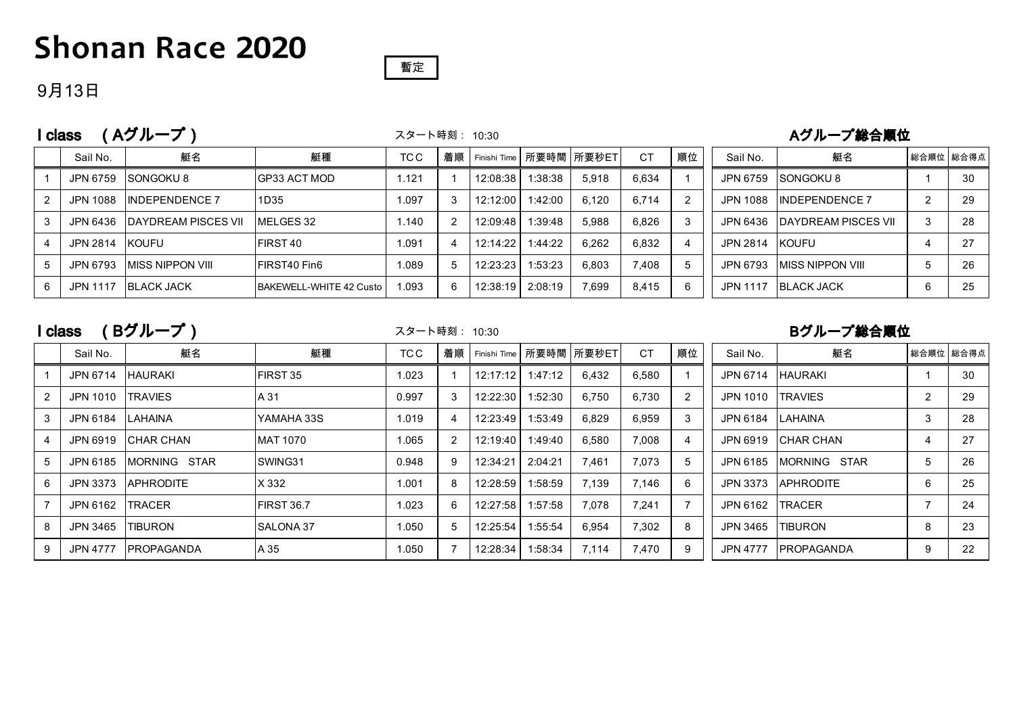## **Shonan Race 2020**

### 暫定

#### 9月13日

|   | Aグループ)<br>class |                             |                         |       |    | スタート時刻: 10:30 |                  |                         | Aグループ総合順位 |    |                 |                             |   |             |
|---|-----------------|-----------------------------|-------------------------|-------|----|---------------|------------------|-------------------------|-----------|----|-----------------|-----------------------------|---|-------------|
|   | Sail No.        | 艇名                          | 艇種                      | TC C  | 着順 |               |                  | Finishi Time 所要時間 所要秒ET | <b>CT</b> | 順位 | Sail No.        | 艇名                          |   | 総合順位   総合得点 |
|   | JPN 6759        | <b>SONGOKU8</b>             | <b>IGP33 ACT MOD</b>    | 1.121 |    | 12:08:38      | 1:38:38          | 5.918                   | 6.634     |    | JPN 6759        | <b>SONGOKU8</b>             |   | 30          |
|   | JPN 1088        | <b>INDEPENDENCE 7</b>       | 1D35                    | 1.097 |    | 12:12:00      | 1:42:00          | 6.120                   | 6.714     | 2  |                 | JPN 1088 INDEPENDENCE 7     | ົ | 29          |
|   | JPN 6436        | <b>IDAYDREAM PISCES VII</b> | <b>IMELGES 32</b>       | 1.140 |    | 12:09:48      | 1:39:48          | 5.988                   | 6.826     | 3  | JPN 6436        | <b>IDAYDREAM PISCES VII</b> | 3 | 28          |
|   | JPN 2814 KOUFU  |                             | <b>IFIRST40</b>         | 1.091 |    | 12:14:22      | 1:44:22          | 6.262                   | 6.832     | 4  | JPN 2814        | <b>KOUFU</b>                |   | 27          |
|   | JPN 6793        | <b>IMISS NIPPON VIII</b>    | <b>IFIRST40 Fin6</b>    | 1.089 |    | 12:23:23      | 1:53:23          | 6.803                   | 7.408     | 5  | JPN 6793        | <b>IMISS NIPPON VIII</b>    | 5 | 26          |
| 6 | JPN 1117        | <b>IBLACK JACK</b>          | BAKEWELL-WHITE 42 Custo | 1.093 | 6  |               | 12:38:19 2:08:19 | 7.699                   | 8.415     | 6  | <b>JPN 1117</b> | <b>BLACK JACK</b>           | 6 | 25          |

I class (Bグループ) スタート時刻: 10:30 Bグループ総合順位

スタート時刻: 10:30

|   | Sail No.        | 艇名                | 艇種                | TC C  | 着順 |          | Finishi Time 所要時間 所要秒ET |       | <b>CT</b> | 順位 | Sail No.        | 艇名                   |                | 総合順位 総合得点 |
|---|-----------------|-------------------|-------------------|-------|----|----------|-------------------------|-------|-----------|----|-----------------|----------------------|----------------|-----------|
|   | JPN 6714        | <b>HAURAKI</b>    | <b>FIRST 35</b>   | 1.023 |    | 12:17:12 | 1:47:12                 | 6.432 | 6.580     |    | JPN 6714        | <b>HAURAKI</b>       |                | 30        |
|   | JPN 1010        | <b>TRAVIES</b>    | A 31              | 0.997 | 3  | 12:22:30 | 1:52:30                 | 6,750 | 6,730     | 2  | JPN 1010        | <b>TRAVIES</b>       | $\overline{2}$ | 29        |
| 3 | JPN 6184        | LAHAINA           | YAMAHA 33S        | 1.019 |    | 12:23:49 | 1:53:49                 | 6,829 | 6,959     | 3  | JPN 6184        | <b>LAHAINA</b>       | 3              | 28        |
|   | <b>JPN 6919</b> | <b>CHAR CHAN</b>  | MAT 1070          | 1.065 | 2  | 12:19:40 | 1:49:40                 | 6,580 | 7.008     | 4  | JPN 6919        | <b>ICHAR CHAN</b>    | 4              | 27        |
|   | JPN 6185        | MORNING STAR      | SWING31           | 0.948 | 9  | 12:34:21 | 2:04:21                 | 7,461 | 7.073     | 5  | JPN 6185        | <b>IMORNING STAR</b> | 5              | 26        |
| 6 | JPN 3373        | <b>APHRODITE</b>  | X 332             | 1.001 | 8  | 12:28:59 | 1:58:59                 | 7,139 | 7.146     | 6  | JPN 3373        | <b>APHRODITE</b>     | 6              | 25        |
|   | JPN 6162        | <b>TRACER</b>     | <b>FIRST 36.7</b> | 1.023 | 6  | 12:27:58 | 1:57:58                 | 7,078 | 7.241     |    | JPN 6162        | <b>TRACER</b>        |                | 24        |
| 8 | JPN 3465        | <b>ITIBURON</b>   | <b>SALONA 37</b>  | 1.050 | 5  | 12:25:54 | 1:55:54                 | 6,954 | 7,302     | 8  | JPN 3465        | <b>TIBURON</b>       | 8              | 23        |
| 9 | <b>JPN 4777</b> | <b>PROPAGANDA</b> | A 35              | 1.050 |    | 12:28:34 | 1:58:34                 | 7,114 | 7,470     | 9  | <b>JPN 4777</b> | <b>IPROPAGANDA</b>   | 9              | 22        |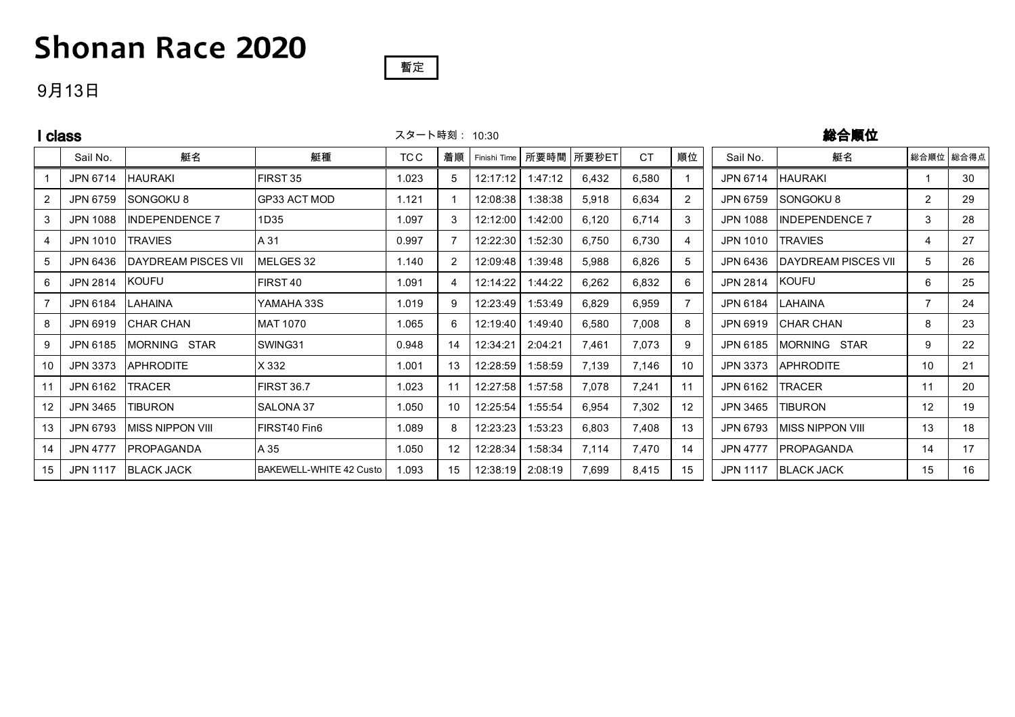# **Shonan Race 2020**

#### 9月13日

|    | class           | スタート時刻: 10:30            |                         |       |    |              | 総合順位    |            |           |    |                 |                     |                   |           |
|----|-----------------|--------------------------|-------------------------|-------|----|--------------|---------|------------|-----------|----|-----------------|---------------------|-------------------|-----------|
|    | Sail No.        | 艇名                       | 艇種                      | TC C  | 着順 | Finishi Time |         | 所要時間 所要秒ET | <b>CT</b> | 順位 | Sail No.        | 艇名                  |                   | 総合順位 総合得点 |
|    | JPN 6714        | <b>HAURAKI</b>           | <b>IFIRST 35</b>        | 1.023 | 5  | 12:17:12     | 1:47:12 | 6,432      | 6,580     |    | JPN 6714        | <b>HAURAKI</b>      |                   | 30        |
| 2  | JPN 6759        | <b>ISONGOKU8</b>         | GP33 ACT MOD            | 1.121 |    | 12:08:38     | 1:38:38 | 5,918      | 6,634     | 2  | JPN 6759        | SONGOKU8            | $\overline{2}$    | 29        |
| 3  | <b>JPN 1088</b> | <b>INDEPENDENCE 7</b>    | 1D35                    | 1.097 | 3  | 12:12:00     | 1:42:00 | 6,120      | 6,714     | 3  | <b>JPN 1088</b> | INDEPENDENCE 7      | 3                 | 28        |
| 4  | JPN 1010        | <b>TRAVIES</b>           | A 31                    | 0.997 |    | 12:22:30     | 1:52:30 | 6,750      | 6,730     | 4  | <b>JPN 1010</b> | <b>TRAVIES</b>      | 4                 | 27        |
| 5  | JPN 6436        | DAYDREAM PISCES VII      | MELGES 32               | 1.140 | 2  | 12:09:48     | 1:39:48 | 5,988      | 6,826     | 5  | JPN 6436        | DAYDREAM PISCES VII | 5                 | 26        |
| 6  | JPN 2814        | <b>KOUFU</b>             | FIRST 40                | 1.091 |    | 12:14:22     | 1:44:22 | 6,262      | 6,832     | 6  | JPN 2814        | KOUFU               | 6                 | 25        |
|    | JPN 6184        | LAHAINA                  | YAMAHA 33S              | 1.019 | 9  | 12:23:49     | 1:53:49 | 6,829      | 6,959     |    | JPN 6184        | LAHAINA             | $\overline{7}$    | 24        |
| 8  | JPN 6919        | <b>CHAR CHAN</b>         | IMAT 1070               | 1.065 | 6  | 12:19:40     | 1:49:40 | 6,580      | 7,008     | 8  | JPN 6919        | <b>CHAR CHAN</b>    | 8                 | 23        |
| 9  | JPN 6185        | MORNING STAR             | <b>SWING31</b>          | 0.948 | 14 | 12:34:21     | 2:04:21 | 7,461      | 7,073     | 9  | JPN 6185        | MORNING STAR        | 9                 | 22        |
| 10 | <b>JPN 3373</b> | <b>IAPHRODITE</b>        | X 332                   | 1.001 | 13 | 12:28:59     | 1:58:59 | 7,139      | 7,146     | 10 | <b>JPN 3373</b> | <b>APHRODITE</b>    | 10                | 21        |
| 11 | JPN 6162        | <b>TRACER</b>            | FIRST 36.7              | 1.023 | 11 | 12:27:58     | 1:57:58 | 7,078      | 7,241     | 11 | JPN 6162        | <b>TRACER</b>       | 11                | 20        |
| 12 | JPN 3465        | <b>TIBURON</b>           | <b>SALONA 37</b>        | 1.050 | 10 | 12:25:54     | 1:55:54 | 6,954      | 7,302     | 12 | JPN 3465        | <b>TIBURON</b>      | $12 \overline{ }$ | 19        |
| 13 | JPN 6793        | <b>IMISS NIPPON VIII</b> | FIRST40 Fin6            | 1.089 | 8  | 12:23:23     | 1:53:23 | 6,803      | 7,408     | 13 | JPN 6793        | MISS NIPPON VIII    | 13                | 18        |
| 14 | <b>JPN 4777</b> | <b>IPROPAGANDA</b>       | A 35                    | 1.050 | 12 | 12:28:34     | 1:58:34 | 7,114      | 7,470     | 14 | <b>JPN 4777</b> | <b>PROPAGANDA</b>   | 14                | 17        |
| 15 |                 | JPN 1117 BLACK JACK      | BAKEWELL-WHITE 42 Custo | 1.093 | 15 | 12:38:19     | 2:08:19 | 7,699      | 8,415     | 15 |                 | JPN 1117 BLACK JACK | 15                | 16        |

暫定